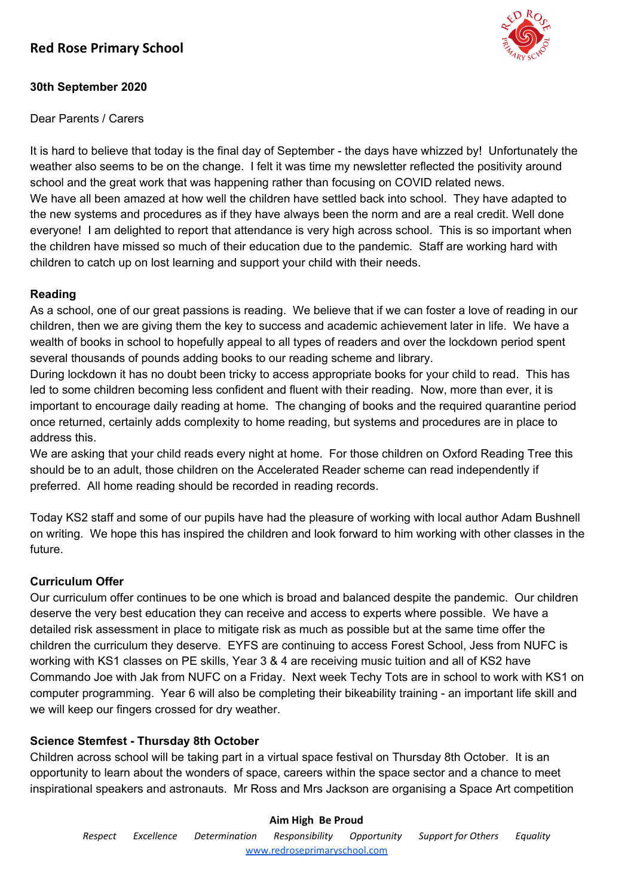# **Red Rose Primary School**



## **30th September 2020**

Dear Parents / Carers

It is hard to believe that today is the final day of September - the days have whizzed by! Unfortunately the weather also seems to be on the change. I felt it was time my newsletter reflected the positivity around school and the great work that was happening rather than focusing on COVID related news. We have all been amazed at how well the children have settled back into school. They have adapted to the new systems and procedures as if they have always been the norm and are a real credit. Well done everyone! I am delighted to report that attendance is very high across school. This is so important when the children have missed so much of their education due to the pandemic. Staff are working hard with children to catch up on lost learning and support your child with their needs.

## **Reading**

As a school, one of our great passions is reading. We believe that if we can foster a love of reading in our children, then we are giving them the key to success and academic achievement later in life. We have a wealth of books in school to hopefully appeal to all types of readers and over the lockdown period spent several thousands of pounds adding books to our reading scheme and library.

During lockdown it has no doubt been tricky to access appropriate books for your child to read. This has led to some children becoming less confident and fluent with their reading. Now, more than ever, it is important to encourage daily reading at home. The changing of books and the required quarantine period once returned, certainly adds complexity to home reading, but systems and procedures are in place to address this.

We are asking that your child reads every night at home. For those children on Oxford Reading Tree this should be to an adult, those children on the Accelerated Reader scheme can read independently if preferred. All home reading should be recorded in reading records.

Today KS2 staff and some of our pupils have had the pleasure of working with local author Adam Bushnell on writing. We hope this has inspired the children and look forward to him working with other classes in the future.

## **Curriculum Offer**

Our curriculum offer continues to be one which is broad and balanced despite the pandemic. Our children deserve the very best education they can receive and access to experts where possible. We have a detailed risk assessment in place to mitigate risk as much as possible but at the same time offer the children the curriculum they deserve. EYFS are continuing to access Forest School, Jess from NUFC is working with KS1 classes on PE skills, Year 3 & 4 are receiving music tuition and all of KS2 have Commando Joe with Jak from NUFC on a Friday. Next week Techy Tots are in school to work with KS1 on computer programming. Year 6 will also be completing their bikeability training - an important life skill and we will keep our fingers crossed for dry weather.

## **Science Stemfest - Thursday 8th October**

Children across school will be taking part in a virtual space festival on Thursday 8th October. It is an opportunity to learn about the wonders of space, careers within the space sector and a chance to meet inspirational speakers and astronauts. Mr Ross and Mrs Jackson are organising a Space Art competition

## **Aim High Be Proud**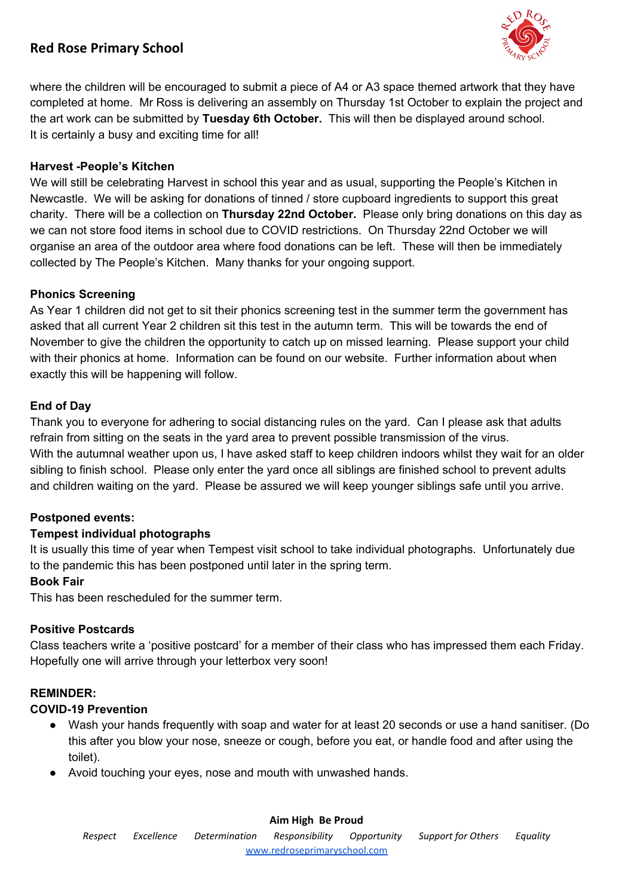# **Red Rose Primary School**



where the children will be encouraged to submit a piece of A4 or A3 space themed artwork that they have completed at home. Mr Ross is delivering an assembly on Thursday 1st October to explain the project and the art work can be submitted by **Tuesday 6th October.** This will then be displayed around school. It is certainly a busy and exciting time for all!

### **Harvest -People's Kitchen**

We will still be celebrating Harvest in school this year and as usual, supporting the People's Kitchen in Newcastle. We will be asking for donations of tinned / store cupboard ingredients to support this great charity. There will be a collection on **Thursday 22nd October.** Please only bring donations on this day as we can not store food items in school due to COVID restrictions. On Thursday 22nd October we will organise an area of the outdoor area where food donations can be left. These will then be immediately collected by The People's Kitchen. Many thanks for your ongoing support.

#### **Phonics Screening**

As Year 1 children did not get to sit their phonics screening test in the summer term the government has asked that all current Year 2 children sit this test in the autumn term. This will be towards the end of November to give the children the opportunity to catch up on missed learning. Please support your child with their phonics at home. Information can be found on our website. Further information about when exactly this will be happening will follow.

#### **End of Day**

Thank you to everyone for adhering to social distancing rules on the yard. Can I please ask that adults refrain from sitting on the seats in the yard area to prevent possible transmission of the virus. With the autumnal weather upon us, I have asked staff to keep children indoors whilst they wait for an older sibling to finish school. Please only enter the yard once all siblings are finished school to prevent adults and children waiting on the yard. Please be assured we will keep younger siblings safe until you arrive.

#### **Postponed events:**

#### **Tempest individual photographs**

It is usually this time of year when Tempest visit school to take individual photographs. Unfortunately due to the pandemic this has been postponed until later in the spring term.

#### **Book Fair**

This has been rescheduled for the summer term.

#### **Positive Postcards**

Class teachers write a 'positive postcard' for a member of their class who has impressed them each Friday. Hopefully one will arrive through your letterbox very soon!

## **REMINDER:**

#### **COVID-19 Prevention**

- Wash your hands frequently with soap and water for at least 20 seconds or use a hand sanitiser. (Do this after you blow your nose, sneeze or cough, before you eat, or handle food and after using the toilet).
- Avoid touching your eyes, nose and mouth with unwashed hands.

#### **Aim High Be Proud**

*Respect Excellence Determination Responsibility Opportunity Support for Others Equality* [www.redroseprimaryschool.com](http://www.redroseprimaryschool.com/)